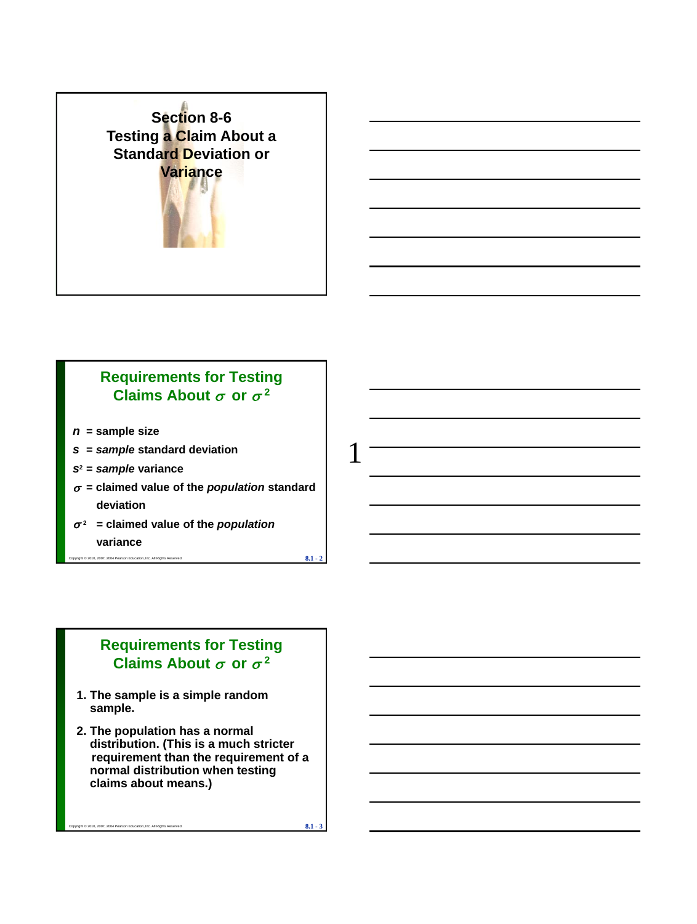

# **Requirements for Testing**  Claims About  $\sigma$  or  $\sigma^2$

- *n* **= sample size**
- *s* **=** *sample* **standard deviation**
- *s***<sup>2</sup> =** *sample* **variance**
- $\sigma$  = claimed value of the *population* standard **deviation**

10, 2007, 2004 Pearson Education, Inc. All Rights Reserved. **8.1** -  $\frac{2}{4}$ 

 $\sigma^2$  = claimed value of the *population* **variance**

# **Requirements for Testing**  Claims About  $\sigma$  or  $\sigma^2$

- **1. The sample is a simple random sample.**
- **2. The population has a normal distribution. (This is a much stricter requirement than the requirement of a normal distribution when testing claims about means.)**

Copyright © 2010, 2007, 2004 Pearson Education, Inc. All Rights Reserved. **8.1 - 3**

1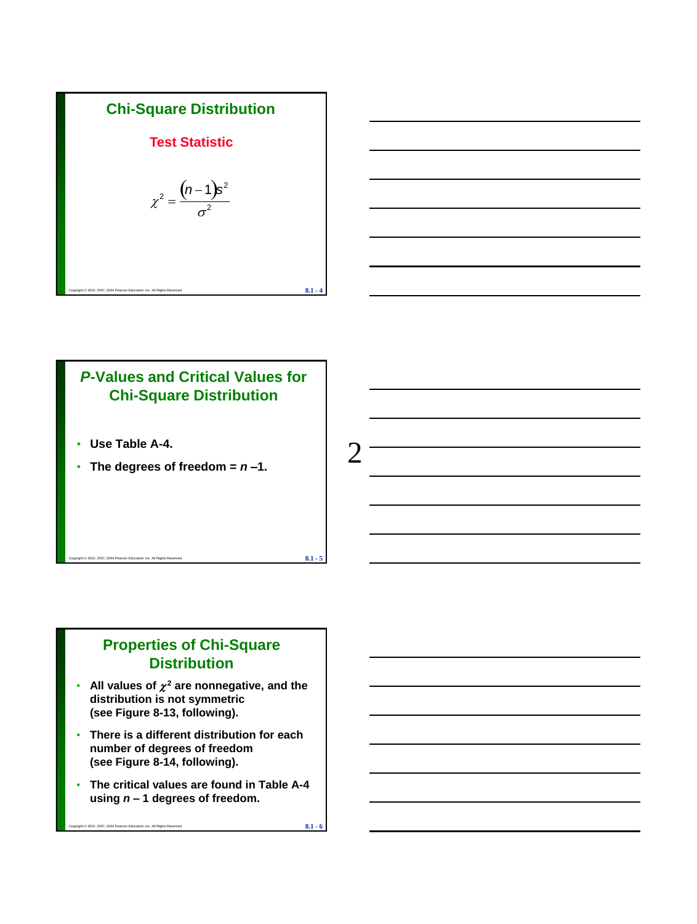



# *P***-Values and Critical Values for Chi-Square Distribution**

- **Use Table A-4.**
- The degrees of freedom  $= n 1$ .

# **Properties of Chi-Square Distribution**

 $\mathbf{8.1}$  -  $\mathbf{8.1}$  -  $\mathbf{5.1}$ 

- All values of  $\chi^2$  are nonnegative, and the **distribution is not symmetric (see Figure 8-13, following).**
- **There is a different distribution for each number of degrees of freedom (see Figure 8-14, following).**
- **The critical values are found in Table A-4 using** *n –* **1 degrees of freedom.**

Copyright © 2010, 2007, 2004 Pearson Education, Inc. All Rights Reserved. **8.1 - 6**

 $\mathcal{D}_{\mathcal{L}}$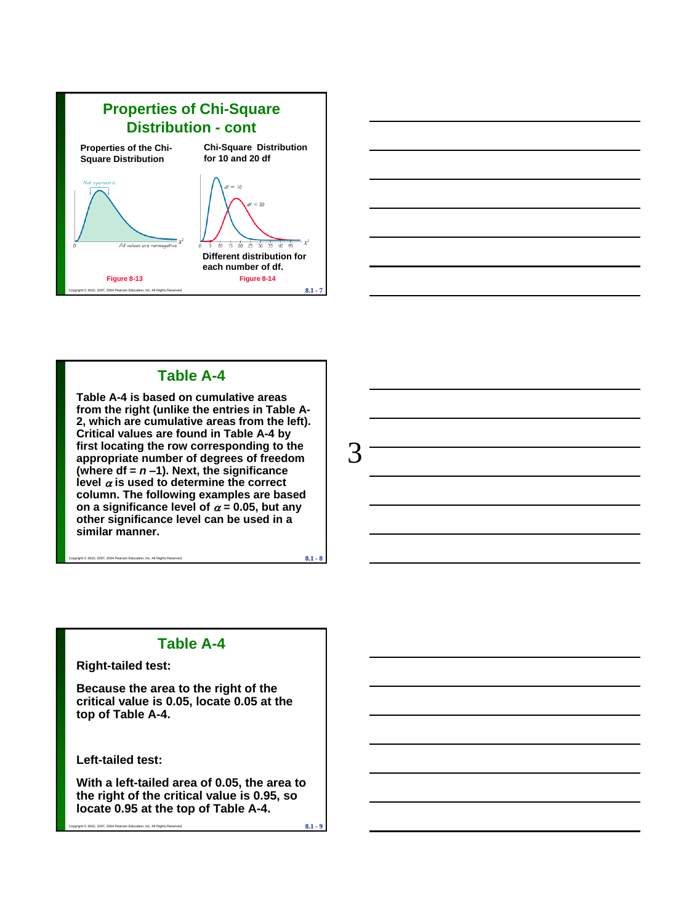



# **Table A-4**

**Table A-4 is based on cumulative areas from the right (unlike the entries in Table A-2, which are cumulative areas from the left). Critical values are found in Table A-4 by first locating the row corresponding to the appropriate number of degrees of freedom (where df =** *n* **–1). Next, the significance**  level  $\alpha$  is used to determine the correct **column. The following examples are based**  on a significance level of  $\alpha = 0.05$ , but any **other significance level can be used in a similar manner.**

 $\overline{8.1}$  - 2007, 2004 Pearson Education, Inc. All Rights Reserved.



### **Table A-4**

**Right-tailed test:**

**Because the area to the right of the critical value is 0.05, locate 0.05 at the top of Table A-4.**

**Left-tailed test:**

**With a left-tailed area of 0.05, the area to the right of the critical value is 0.95, so locate 0.95 at the top of Table A-4.**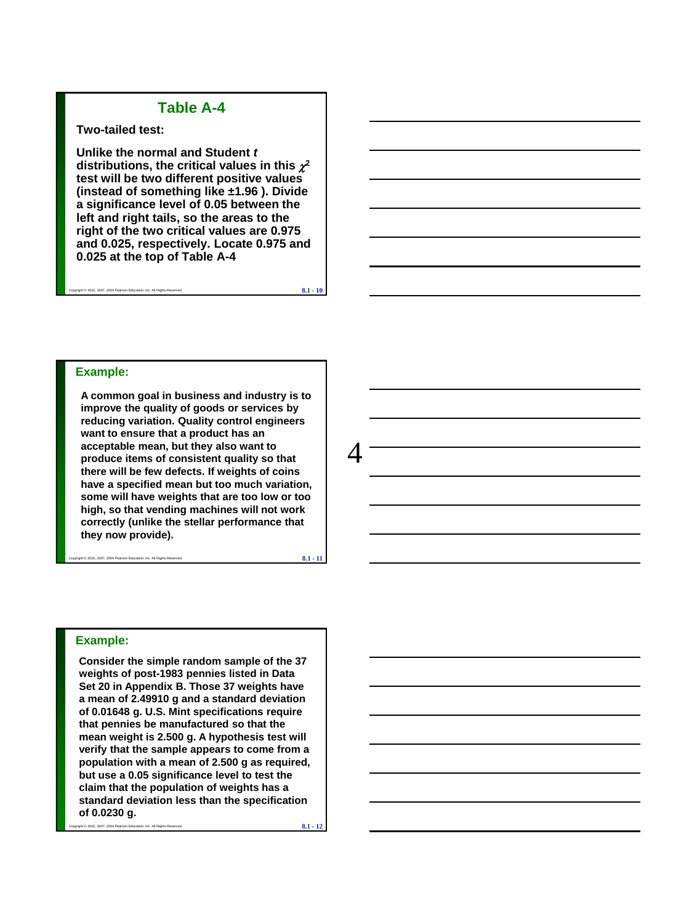### **Table A-4**

#### **Two-tailed test:**

**Unlike the normal and Student** *t* distributions, the critical values in this  $\chi^2$ **test will be two different positive values (instead of something like ±1.96 ). Divide a significance level of 0.05 between the left and right tails, so the areas to the right of the two critical values are 0.975 and 0.025, respectively. Locate 0.975 and 0.025 at the top of Table A-4**

Copyright © 2010, 2007, 2004 Pearson Education, Inc. All Rights Reserved. **8.1 - 10**

#### **Example:**

**A common goal in business and industry is to improve the quality of goods or services by reducing variation. Quality control engineers want to ensure that a product has an acceptable mean, but they also want to produce items of consistent quality so that there will be few defects. If weights of coins have a specified mean but too much variation, some will have weights that are too low or too high, so that vending machines will not work correctly (unlike the stellar performance that they now provide).** 

Copyright © 2010, 2007, 2004 Pearson Education, Inc. All Rights Reserved. **8.1 - 11**

4

#### **Example:**

**Consider the simple random sample of the 37 weights of post-1983 pennies listed in Data Set 20 in Appendix B. Those 37 weights have a mean of 2.49910 g and a standard deviation of 0.01648 g. U.S. Mint specifications require that pennies be manufactured so that the mean weight is 2.500 g. A hypothesis test will verify that the sample appears to come from a population with a mean of 2.500 g as required, but use a 0.05 significance level to test the claim that the population of weights has a standard deviation less than the specification of 0.0230 g.**

Copyright © 2010, 2007, 2004 Pearson Education, Inc. All Rights Reserved. **8.1 - 12**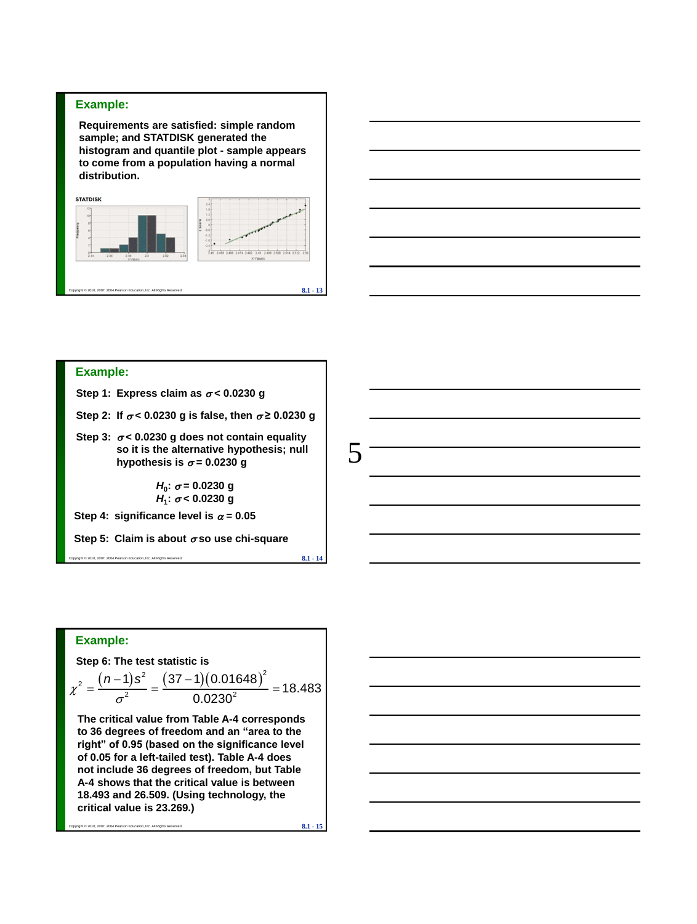#### **Example:**

**Requirements are satisfied: simple random sample; and STATDISK generated the histogram and quantile plot - sample appears to come from a population having a normal distribution.** 





#### **Example:**

Step 1: Express claim as  $\sigma$  < 0.0230 g

Step 2: If  $\sigma$  < 0.0230 g is false, then  $\sigma$  ≥ 0.0230 g

Step 3:  $\sigma$  < 0.0230 g does not contain equality **so it is the alternative hypothesis; null**  hypothesis is  $\sigma$  = 0.0230 g

> *H***0 : = 0.0230 g** *H***1 : < 0.0230 g**

Step 4: significance level is  $\alpha = 0.05$ 

**Step 5: Claim is about so use chi-square**

Copyright © 2010, 2007, 2004 Pearson Education, Inc. All Rights Reserved. **8.1 - 14** 

5

### **Example:**

**Step 6: The test statistic is** 

Example:  
\nStep 6: The test statistic is  
\n
$$
\chi^2 = \frac{(n-1)s^2}{\sigma^2} = \frac{(37-1)(0.01648)^2}{0.0230^2} = 18.483
$$

**The critical value from Table A-4 corresponds to 36 degrees of freedom and an "area to the right" of 0.95 (based on the significance level of 0.05 for a left-tailed test). Table A-4 does not include 36 degrees of freedom, but Table A-4 shows that the critical value is between 18.493 and 26.509. (Using technology, the critical value is 23.269.)** 

Copyright © 2010, 2007, 2004 Pearson Education, Inc. All Rights Reserved. **8.1 - 15**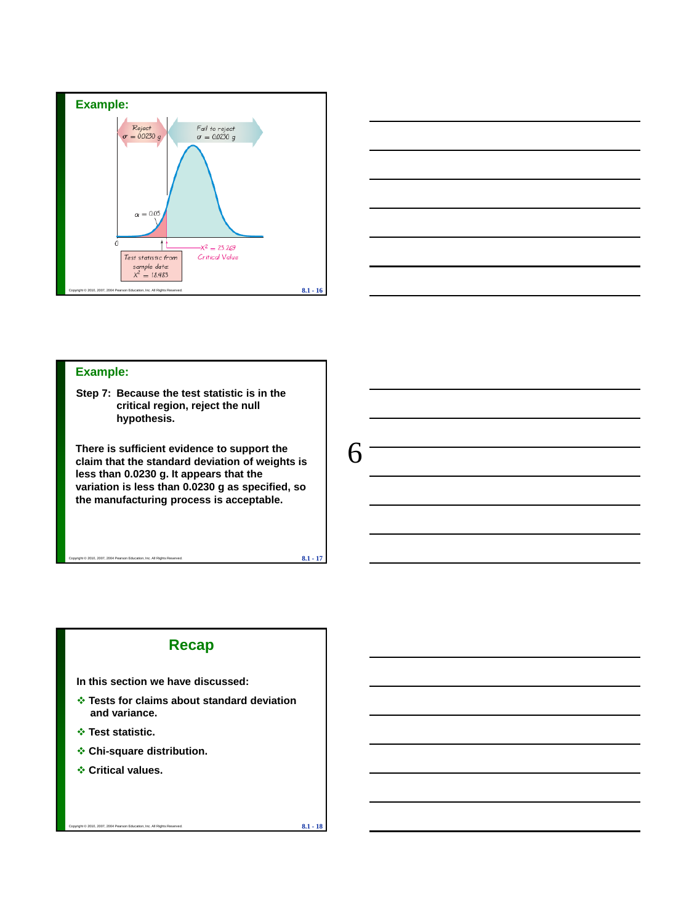



#### **Example:**

**Step 7: Because the test statistic is in the critical region, reject the null hypothesis.** 

**There is sufficient evidence to support the claim that the standard deviation of weights is less than 0.0230 g. It appears that the variation is less than 0.0230 g as specified, so the manufacturing process is acceptable.**

Copyright © 2010, 2007, 2004 Pearson Education, Inc. All Rights Reserved. **8.1 - 17**

6

### **Recap**

**In this section we have discussed:**

- **Tests for claims about standard deviation and variance.**
- **Test statistic.**
- **Chi-square distribution.**
- **Critical values.**

Copyright © 2010, 2007, 2004 Pearson Education, Inc. All Rights Reserved. **8.1 - 18**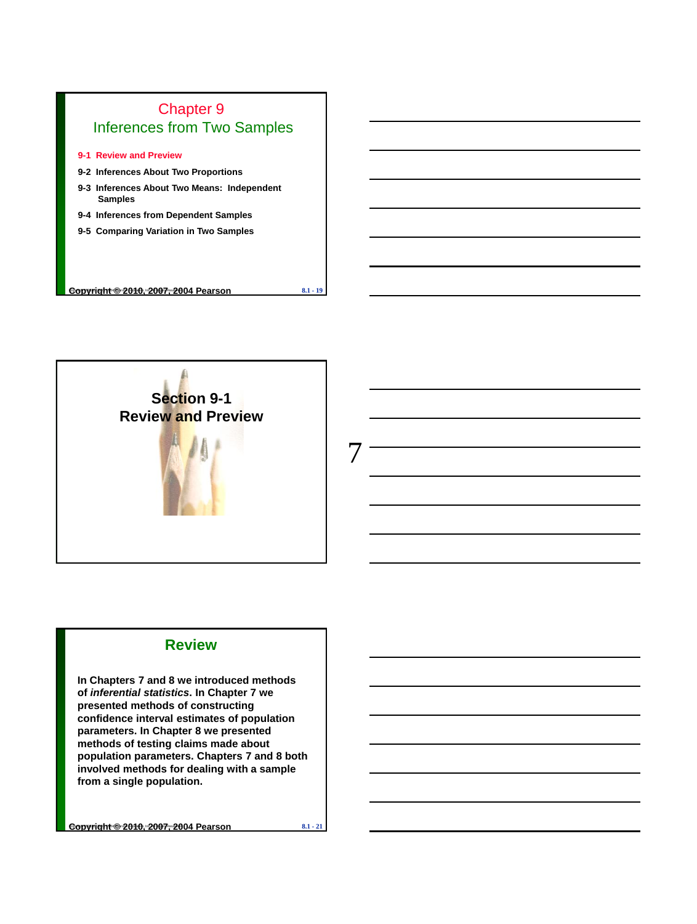

- **9-1 Review and Preview**
- **9-2 Inferences About Two Proportions**
- **9-3 Inferences About Two Means: Independent Samples**
- **9-4 Inferences from Dependent Samples**
- **9-5 Comparing Variation in Two Samples**

Copyright © 2010, 2007, 2004 Pearson Education, Inc. All Rights Reserved. **Copyright © 2010, 2007, 2004 Pearson 8.1 - 19**



### **Review**

**In Chapters 7 and 8 we introduced methods of** *inferential statistics***. In Chapter 7 we presented methods of constructing confidence interval estimates of population parameters. In Chapter 8 we presented methods of testing claims made about population parameters. Chapters 7 and 8 both involved methods for dealing with a sample from a single population.** 

Copyright © 2010, 2007, 2004 Pearson Education, Inc. All Rights Reserved. **Copyright © 2010, 2007, 2004 Pearson 8.1 - 21**

7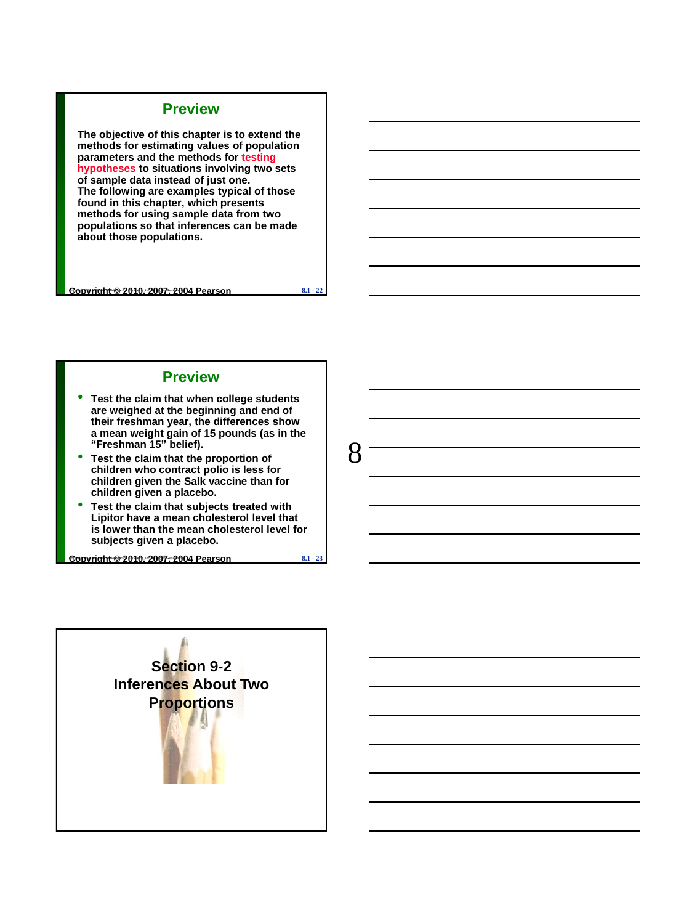### **Preview**

**The objective of this chapter is to extend the methods for estimating values of population parameters and the methods for testing hypotheses to situations involving two sets of sample data instead of just one. The following are examples typical of those found in this chapter, which presents methods for using sample data from two populations so that inferences can be made about those populations.** 

Copyright © 2010, 2007, 2004 Pearson Education, Inc. All Rights Reserved. **Copyright © 2010, 2007, 2004 Pearson 8.1 - 22**

8

#### **Preview**

- **Test the claim that when college students are weighed at the beginning and end of their freshman year, the differences show a mean weight gain of 15 pounds (as in the "Freshman 15" belief).**
- **Test the claim that the proportion of children who contract polio is less for children given the Salk vaccine than for children given a placebo.**
- **Test the claim that subjects treated with Lipitor have a mean cholesterol level that is lower than the mean cholesterol level for subjects given a placebo.**

Copyright © 2010, 2007, 2004 Pearson Education, Inc. All Rights Reserved. **Copyright © 2010, 2007, 2004 Pearson 8.1 - 23**

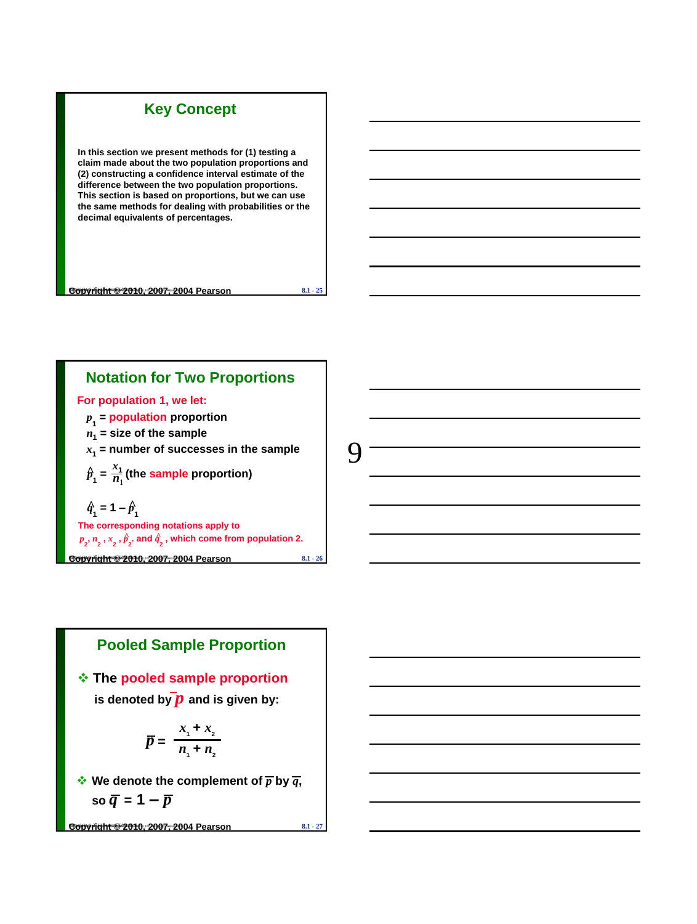

**In this section we present methods for (1) testing a claim made about the two population proportions and (2) constructing a confidence interval estimate of the difference between the two population proportions. This section is based on proportions, but we can use the same methods for dealing with probabilities or the decimal equivalents of percentages.**

Copyright © 2010, 2007, 2004 Pearson Education, Inc. All Rights Reserved. **Copyright © 2010, 2007, 2004 Pearson 8.1 - 25** Copyright © 2010 Pearson Education

**Notation for Two Proportions**

**For population 1, we let:**

*p* **1 = population proportion**

- *n***1 = size of the sample**
- *x***1 = number of successes in the sample**

 $\hat{p}_1 = \frac{x_1}{n_1}$  (the sample proportion)  $\frac{x_1}{x_2}$ 

 $\hat{q}_1 = 1 - \hat{p}_1$ 

**The corresponding notations apply to**  $p_{2}$ ,  $n_{2}$  ,  $x_{2}$  ,  $\hat{p}_{2}$  and  $\hat{q}_{2}$  , which come from population 2.

Copyright © 2010, 2007, 2004 Pearson Education, Inc. All Rights Reserved. **Copyright © 2010, 2007, 2004 Pearson 8.1 - 26** Copyright © 2010 Pearson Education

# **Pooled Sample Proportion**

 **The pooled sample proportion** is denoted by  $\overline{p}$  and is given by:

$$
\overline{p} = \frac{x_1 + x_2}{n_1 + n_2}
$$

 $\cdot$  **We denote the complement of**  $\overline{p}$  **by**  $\overline{q}$ **,**  $\overline{s}$ **o**  $\overline{q}$ **=** 1  $-\overline{p}$ 

Copyright © 2010, 2007, 2004 Pearson Education, Inc. All Rights Reserved. **Copyright © 2010, 2007, 2004 Pearson 8.1 - 27** Copyright © 2010 Pearson Education

9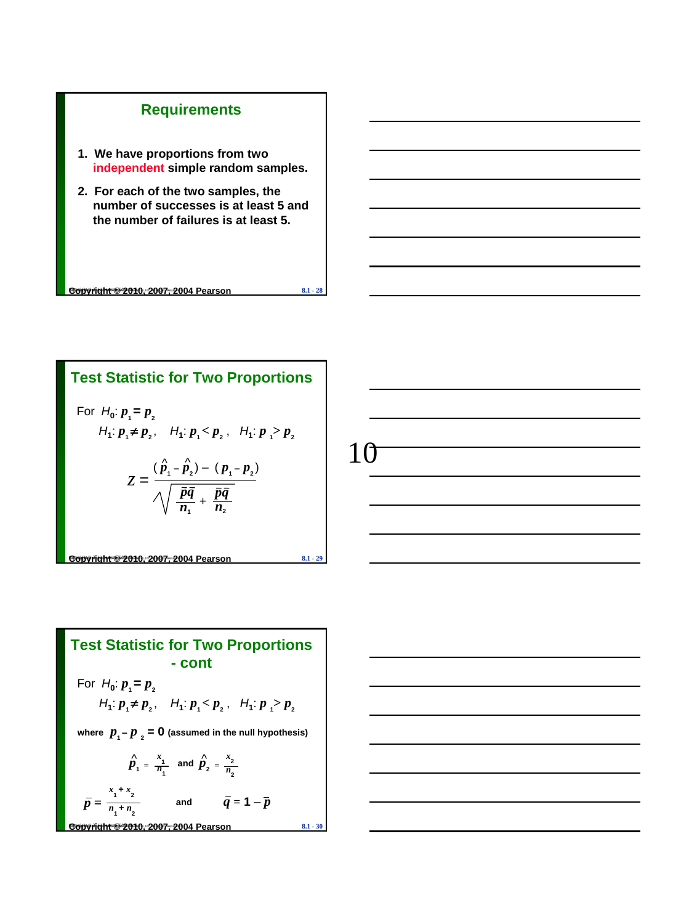## **Requirements**

- **1. We have proportions from two independent simple random samples.**
- **2. For each of the two samples, the number of successes is at least 5 and the number of failures is at least 5.**

Copyright © 2010, 2007, 2004 Pearson Education, Inc. All Rights Reserved. **Copyright © 2010, 2007, 2004 Pearson 8.1 - 28** Copyright © 2010 Pearson Education

Copyright © 2010, 2007, 2004 Pearson Education, Inc. All Rights Reserved. **Copyright © 2010, 2007, 2004 Pearson 8.1 - 29** Copyright © 2010 Pearson Education **Test Statistic for Two Proportions**  For  $H_0: p_1 = p_2$  $H_1: p_1 \neq p_2$ ,  $H_1: p_1 < p_2$ ,  $H_1: p_1 > p_2$ +  $z = \frac{(\hat{p}_1 - \hat{p}_2) - (p_1 - p_2)}{\sqrt{1 - \hat{p}_2}}$  $\overline{n_1}$ *pq*  $\overline{n}_2$ *pq*



Test Statistic for Two Proportions  
\n- cont  
\nFor 
$$
H_0: p_1 = p_2
$$
  
\n $H_1: p_1 \neq p_2$ ,  $H_1: p_1 < p_2$ ,  $H_1: p_1 > p_2$   
\nwhere  $p_1 - p_2 = 0$  (assumed in the null hypothesis)  
\n $\hat{p}_1 = \frac{x_1}{n_1}$  and  $\hat{p}_2 = \frac{x_2}{n_2}$   
\n $\bar{p} = \frac{x_1 + x_2}{n_1 + n_2}$  and  $\bar{q} = 1 - \bar{p}$   
\n**Convariant \$2010:2007:2004 Pearson** 8.1.30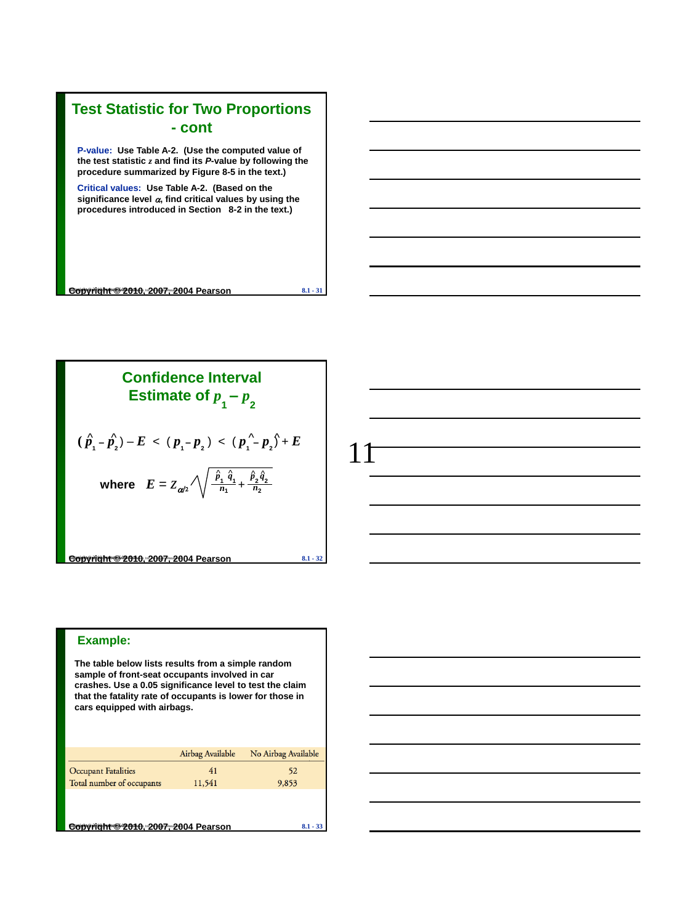### **Test Statistic for Two Proportions - cont P-value: Use Table A-2. (Use the computed value of the test statistic** *z* **and find its** *P***-value by following the procedure summarized by Figure 8-5 in the text.)**

**Critical values: Use Table A-2. (Based on the significance level , find critical values by using the procedures introduced in Section 8-2 in the text.)**

Copyright © 2010, 2007, 2004 Pearson Education, Inc. All Rights Reserved. **Copyright © 2010, 2007, 2004 Pearson 8.1 - 31** Copyright © 2010 Pearson Education

**Confidence Interval**  
\n**Estimate of** 
$$
p_1 - p_2
$$
  
\n $(\hat{p}_1 - \hat{p}_2) - E < (p_1 - p_2) < (p_1 - p_2) + E$   
\nwhere  $E = Z_{\alpha/2} \sqrt{\frac{\hat{p}_1 \hat{q}_1}{n_1} + \frac{\hat{p}_2 \hat{q}_2}{n_2}}$   
\n  
\n**Coovright** 2007: 2004 Pearson 8.1 - 32

11

#### **Example:**

**The table below lists results from a simple random sample of front-seat occupants involved in car crashes. Use a 0.05 significance level to test the claim that the fatality rate of occupants is lower for those in cars equipped with airbags.**

|                                     | Airbag Available | No Airbag Available |  |  |
|-------------------------------------|------------------|---------------------|--|--|
| <b>Occupant Fatalities</b>          | 41               | 52                  |  |  |
| Total number of occupants           | 11,541           | 9,853               |  |  |
|                                     |                  |                     |  |  |
|                                     |                  |                     |  |  |
| Copyright @2010. 2007. 2004 Pearson |                  |                     |  |  |
|                                     |                  |                     |  |  |

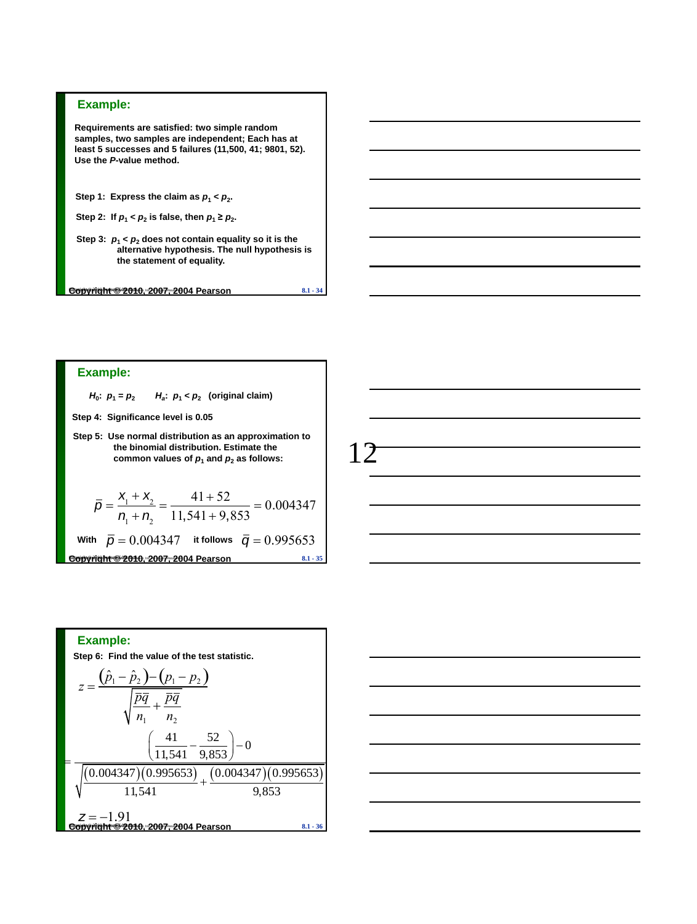

**Requirements are satisfied: two simple random samples, two samples are independent; Each has at least 5 successes and 5 failures (11,500, 41; 9801, 52). Use the** *P***-value method.**

Step 1: Express the claim as  $p_1 < p_2$ .

| Step 2: If $p_1 < p_2$ is false, then $p_1 \ge p_2$ . |  |  |  |  |  |  |
|-------------------------------------------------------|--|--|--|--|--|--|
|-------------------------------------------------------|--|--|--|--|--|--|

Step 3:  $p_1 < p_2$  does not contain equality so it is the **alternative hypothesis. The null hypothesis is the statement of equality.**

Copyright © 2010, 2007, 2004 Pearson Education, Inc. All Rights Reserved. **Copyright © 2010, 2007, 2004 Pearson 8.1 - 34** Copyright © 2010 Pearson Education

#### **Example:**

*H*<sub>0</sub>:  $p_1 = p_2$  *H<sub>a</sub>* **:** *p***<sup>1</sup> <** *p***<sup>2</sup> (original claim)**

- **Step 4: Significance level is 0.05**
- **Step 5: Use normal distribution as an approximation to the binomial distribution. Estimate the**  common values of  $p_1$  and  $p_2$  as follows:

$$
\overline{p} = \frac{X_1 + X_2}{n_1 + n_2} = \frac{41 + 52}{11,541 + 9,853} = 0.004347
$$
  
With  $\overline{p} = 0.004347$  it follows  $\overline{q} = 0.995653$   
**Coovrelation: 2007: 2004 Pearson** 8.1.35

$$
\frac{12}{\underline{\qquad \qquad }
$$